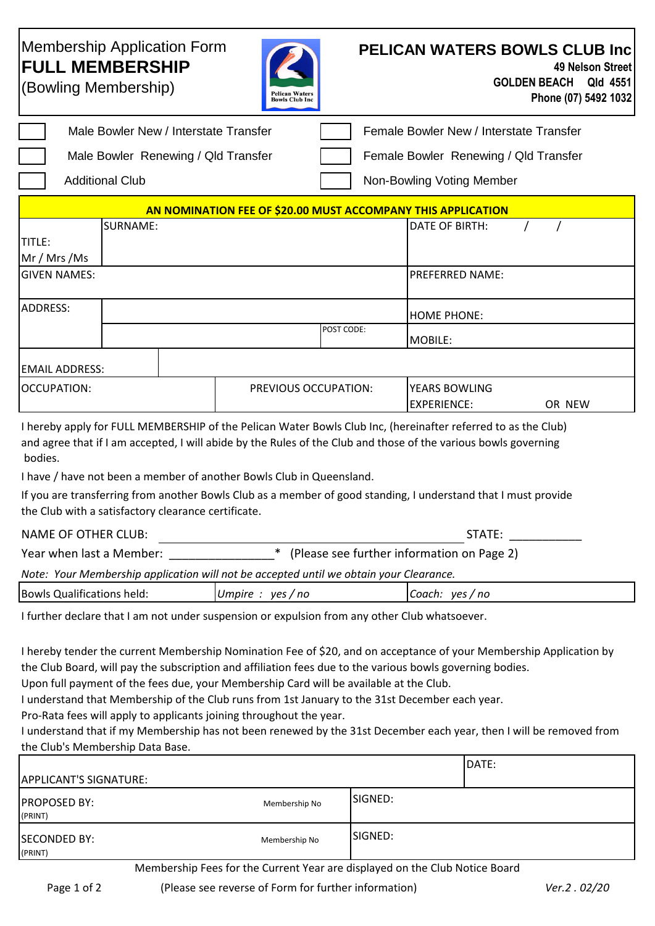## **PELICAN WATERS BOWLS CLUB Inc 49 Nelson Street GOLDEN BEACH Qld 4551 Phone (07) 5492 1032**  Membership Application Form **FULL MEMBERSHIP** (Bowling Membership) Male Bowler New / Interstate Transfer Female Bowler New / Interstate Transfer

|  | Male Bowler Renewing / Qld Transfer | Female Bowler |
|--|-------------------------------------|---------------|
|  |                                     |               |

Renewing / Qld Transfer

Additional Club Non-Bowling Voting Member

| AN NOMINATION FEE OF \$20.00 MUST ACCOMPANY THIS APPLICATION |          |  |                      |  |                        |  |        |
|--------------------------------------------------------------|----------|--|----------------------|--|------------------------|--|--------|
|                                                              | SURNAME: |  |                      |  | DATE OF BIRTH:         |  |        |
| TITLE:                                                       |          |  |                      |  |                        |  |        |
| Mr / Mrs /Ms                                                 |          |  |                      |  |                        |  |        |
| <b>GIVEN NAMES:</b>                                          |          |  |                      |  | <b>PREFERRED NAME:</b> |  |        |
|                                                              |          |  |                      |  |                        |  |        |
| ADDRESS:                                                     |          |  |                      |  | <b>HOME PHONE:</b>     |  |        |
|                                                              |          |  |                      |  |                        |  |        |
|                                                              |          |  | POST CODE:           |  | MOBILE:                |  |        |
|                                                              |          |  |                      |  |                        |  |        |
| <b>EMAIL ADDRESS:</b>                                        |          |  |                      |  |                        |  |        |
| <b>OCCUPATION:</b>                                           |          |  | PREVIOUS OCCUPATION: |  | YEARS BOWLING          |  |        |
|                                                              |          |  |                      |  | <b>EXPERIENCE:</b>     |  | OR NEW |

I hereby apply for FULL MEMBERSHIP of the Pelican Water Bowls Club Inc, (hereinafter referred to as the Club) and agree that if I am accepted, I will abide by the Rules of the Club and those of the various bowls governing bodies.

I have / have not been a member of another Bowls Club in Queensland.

If you are transferring from another Bowls Club as a member of good standing, I understand that I must provide the Club with a satisfactory clearance certificate.

| NAME OF OTHER CLUB:      | STATE:                                       |  |
|--------------------------|----------------------------------------------|--|
| Year when last a Member: | * (Please see further information on Page 2) |  |

| Note: Your Membership application will not be accepted until we obtain your Clearance. |  |  |  |
|----------------------------------------------------------------------------------------|--|--|--|
|                                                                                        |  |  |  |

| Bowls<br>held<br>. <b>.</b><br>Qualifica<br>. ations | <b>VPC</b><br>no<br>ווטוי.<br>יש | ves<br>no<br>Coach |
|------------------------------------------------------|----------------------------------|--------------------|
|                                                      |                                  |                    |

I further declare that I am not under suspension or expulsion from any other Club whatsoever.

I hereby tender the current Membership Nomination Fee of \$20, and on acceptance of your Membership Application by the Club Board, will pay the subscription and affiliation fees due to the various bowls governing bodies.

Upon full payment of the fees due, your Membership Card will be available at the Club.

I understand that Membership of the Club runs from 1st January to the 31st December each year.

Pro-Rata fees will apply to applicants joining throughout the year.

I understand that if my Membership has not been renewed by the 31st December each year, then I will be removed from the Club's Membership Data Base.

|                                |                                                   | DATE:              |
|--------------------------------|---------------------------------------------------|--------------------|
| APPLICANT'S SIGNATURE:         |                                                   |                    |
| <b>PROPOSED BY:</b><br>(PRINT) | Membership No                                     | SIGNED:            |
| SECONDED BY:<br>(PRINT)        | Membership No                                     | SIGNED:            |
| $\sim$ $\sim$                  | $\sim$ $\sim$ $\sim$<br>.<br>$\sim$ $\sim$ $\sim$ | $\cdots$<br>$\sim$ |

Membership Fees for the Current Year are displayed on the Club Notice Board